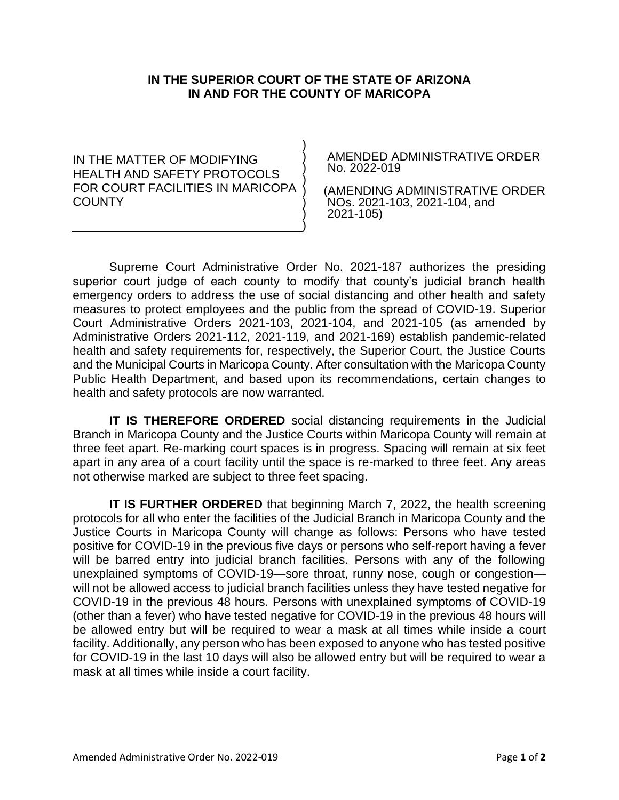## **IN THE SUPERIOR COURT OF THE STATE OF ARIZONA IN AND FOR THE COUNTY OF MARICOPA**

) ) ) ) ) ) ) )

IN THE MATTER OF MODIFYING HEALTH AND SAFETY PROTOCOLS FOR COURT FACILITIES IN MARICOPA **COUNTY** 

AMENDED ADMINISTRATIVE ORDER No. 2022-019

 (AMENDING ADMINISTRATIVE ORDER NOs. 2021-103, 2021-104, and 2021-105)

Supreme Court Administrative Order No. 2021-187 authorizes the presiding superior court judge of each county to modify that county's judicial branch health emergency orders to address the use of social distancing and other health and safety measures to protect employees and the public from the spread of COVID-19. Superior Court Administrative Orders 2021-103, 2021-104, and 2021-105 (as amended by Administrative Orders 2021-112, 2021-119, and 2021-169) establish pandemic-related health and safety requirements for, respectively, the Superior Court, the Justice Courts and the Municipal Courts in Maricopa County. After consultation with the Maricopa County Public Health Department, and based upon its recommendations, certain changes to health and safety protocols are now warranted.

**IT IS THEREFORE ORDERED** social distancing requirements in the Judicial Branch in Maricopa County and the Justice Courts within Maricopa County will remain at three feet apart. Re-marking court spaces is in progress. Spacing will remain at six feet apart in any area of a court facility until the space is re-marked to three feet. Any areas not otherwise marked are subject to three feet spacing.

**IT IS FURTHER ORDERED** that beginning March 7, 2022, the health screening protocols for all who enter the facilities of the Judicial Branch in Maricopa County and the Justice Courts in Maricopa County will change as follows: Persons who have tested positive for COVID-19 in the previous five days or persons who self-report having a fever will be barred entry into judicial branch facilities. Persons with any of the following unexplained symptoms of COVID-19—sore throat, runny nose, cough or congestion will not be allowed access to judicial branch facilities unless they have tested negative for COVID-19 in the previous 48 hours. Persons with unexplained symptoms of COVID-19 (other than a fever) who have tested negative for COVID-19 in the previous 48 hours will be allowed entry but will be required to wear a mask at all times while inside a court facility. Additionally, any person who has been exposed to anyone who has tested positive for COVID-19 in the last 10 days will also be allowed entry but will be required to wear a mask at all times while inside a court facility.